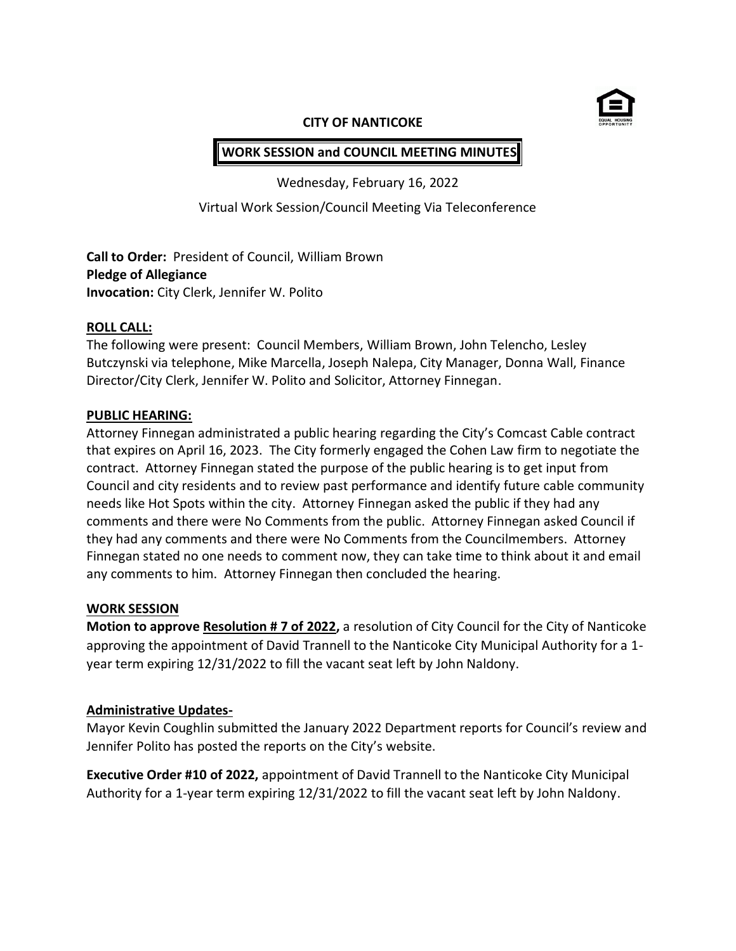

#### **CITY OF NANTICOKE**

# **WORK SESSION and COUNCIL MEETING MINUTES**

Wednesday, February 16, 2022

Virtual Work Session/Council Meeting Via Teleconference

**Call to Order:** President of Council, William Brown **Pledge of Allegiance Invocation:** City Clerk, Jennifer W. Polito

#### **ROLL CALL:**

The following were present: Council Members, William Brown, John Telencho, Lesley Butczynski via telephone, Mike Marcella, Joseph Nalepa, City Manager, Donna Wall, Finance Director/City Clerk, Jennifer W. Polito and Solicitor, Attorney Finnegan.

#### **PUBLIC HEARING:**

Attorney Finnegan administrated a public hearing regarding the City's Comcast Cable contract that expires on April 16, 2023. The City formerly engaged the Cohen Law firm to negotiate the contract. Attorney Finnegan stated the purpose of the public hearing is to get input from Council and city residents and to review past performance and identify future cable community needs like Hot Spots within the city. Attorney Finnegan asked the public if they had any comments and there were No Comments from the public. Attorney Finnegan asked Council if they had any comments and there were No Comments from the Councilmembers. Attorney Finnegan stated no one needs to comment now, they can take time to think about it and email any comments to him. Attorney Finnegan then concluded the hearing.

#### **WORK SESSION**

**Motion to approve Resolution # 7 of 2022,** a resolution of City Council for the City of Nanticoke approving the appointment of David Trannell to the Nanticoke City Municipal Authority for a 1 year term expiring 12/31/2022 to fill the vacant seat left by John Naldony.

#### **Administrative Updates-**

Mayor Kevin Coughlin submitted the January 2022 Department reports for Council's review and Jennifer Polito has posted the reports on the City's website.

**Executive Order #10 of 2022,** appointment of David Trannell to the Nanticoke City Municipal Authority for a 1-year term expiring 12/31/2022 to fill the vacant seat left by John Naldony.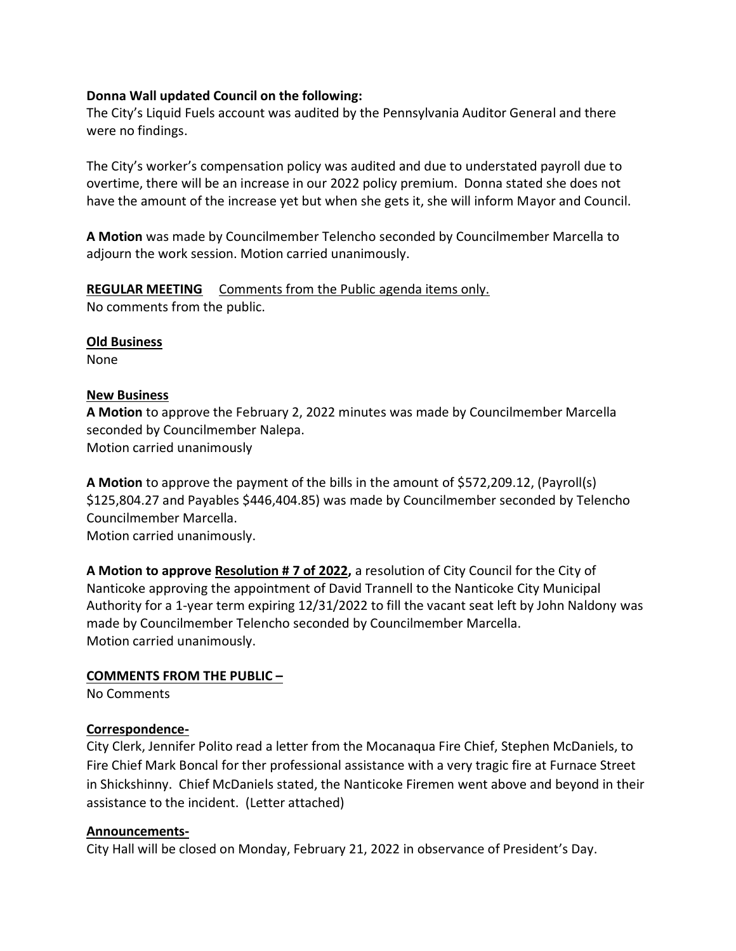#### **Donna Wall updated Council on the following:**

The City's Liquid Fuels account was audited by the Pennsylvania Auditor General and there were no findings.

The City's worker's compensation policy was audited and due to understated payroll due to overtime, there will be an increase in our 2022 policy premium. Donna stated she does not have the amount of the increase yet but when she gets it, she will inform Mayor and Council.

**A Motion** was made by Councilmember Telencho seconded by Councilmember Marcella to adjourn the work session. Motion carried unanimously.

**REGULAR MEETING** Comments from the Public agenda items only. No comments from the public.

#### **Old Business**

None

### **New Business**

**A Motion** to approve the February 2, 2022 minutes was made by Councilmember Marcella seconded by Councilmember Nalepa. Motion carried unanimously

**A Motion** to approve the payment of the bills in the amount of \$572,209.12, (Payroll(s) \$125,804.27 and Payables \$446,404.85) was made by Councilmember seconded by Telencho Councilmember Marcella.

Motion carried unanimously.

**A Motion to approve Resolution # 7 of 2022,** a resolution of City Council for the City of Nanticoke approving the appointment of David Trannell to the Nanticoke City Municipal Authority for a 1-year term expiring 12/31/2022 to fill the vacant seat left by John Naldony was made by Councilmember Telencho seconded by Councilmember Marcella. Motion carried unanimously.

## **COMMENTS FROM THE PUBLIC –**

No Comments

## **Correspondence-**

City Clerk, Jennifer Polito read a letter from the Mocanaqua Fire Chief, Stephen McDaniels, to Fire Chief Mark Boncal for ther professional assistance with a very tragic fire at Furnace Street in Shickshinny. Chief McDaniels stated, the Nanticoke Firemen went above and beyond in their assistance to the incident. (Letter attached)

#### **Announcements-**

City Hall will be closed on Monday, February 21, 2022 in observance of President's Day.